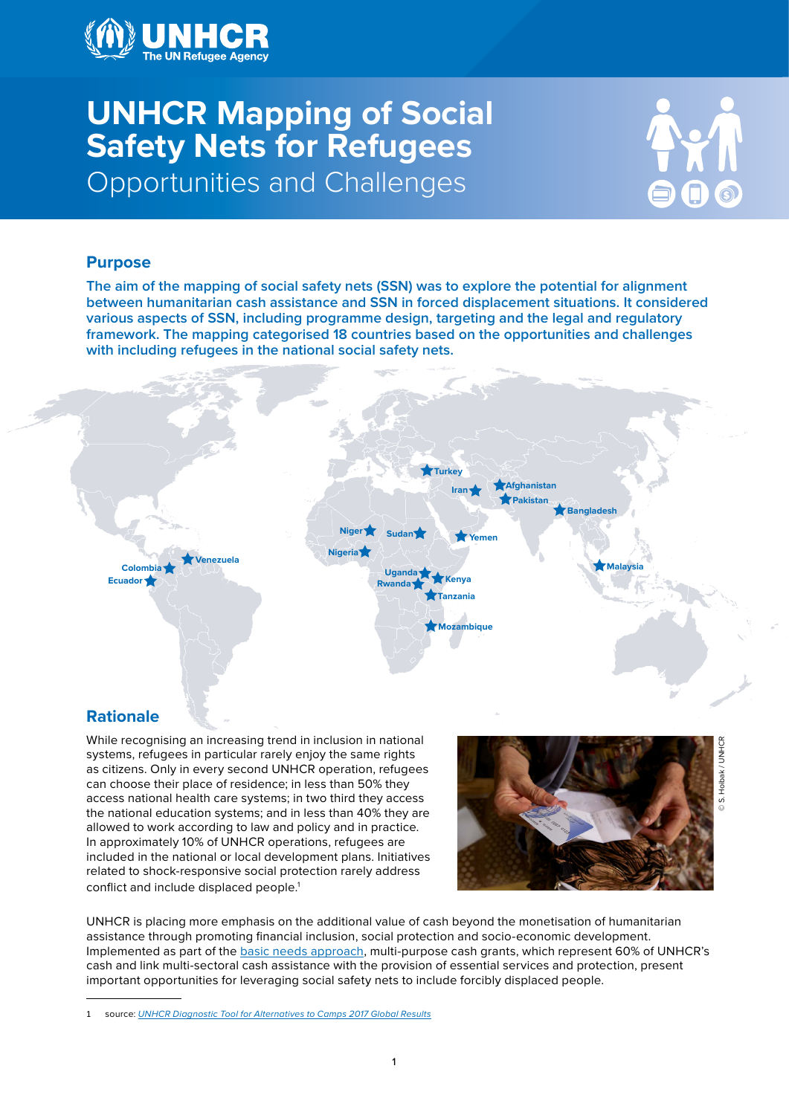

# **UNHCR Mapping of Social Safety Nets for Refugees** Opportunities and Challenges



# **Purpose**

**The aim of the mapping of social safety nets (SSN) was to explore the potential for alignment between humanitarian cash assistance and SSN in forced displacement situations. It considered various aspects of SSN, including programme design, targeting and the legal and regulatory framework. The mapping categorised 18 countries based on the opportunities and challenges with including refugees in the national social safety nets.**



# **Rationale**

While recognising an increasing trend in inclusion in national systems, refugees in particular rarely enjoy the same rights as citizens. Only in every second UNHCR operation, refugees can choose their place of residence; in less than 50% they access national health care systems; in two third they access the national education systems; and in less than 40% they are allowed to work according to law and policy and in practice. In approximately 10% of UNHCR operations, refugees are included in the national or local development plans. Initiatives related to shock-responsive social protection rarely address conflict and include displaced people.<sup>1</sup>



UNHCR is placing more emphasis on the additional value of cash beyond the monetisation of humanitarian assistance through promoting financial inclusion, social protection and socio-economic development. Implemented as part of the [basic needs approach,](http://www.unhcr.org/protection/operations/590aefc77/basic-needs-approach-refugee-response.html) multi-purpose cash grants, which represent 60% of UNHCR's cash and link multi-sectoral cash assistance with the provision of essential services and protection, present important opportunities for leveraging social safety nets to include forcibly displaced people.

1 source: *[UNHCR Diagnostic Tool for Alternatives to Camps 2017 Global Results](http://www.unhcr.org/protection/operations/59b2a6f07/unhcr-diagnostic-tool-alternatives-camps-2017-global-results.html)*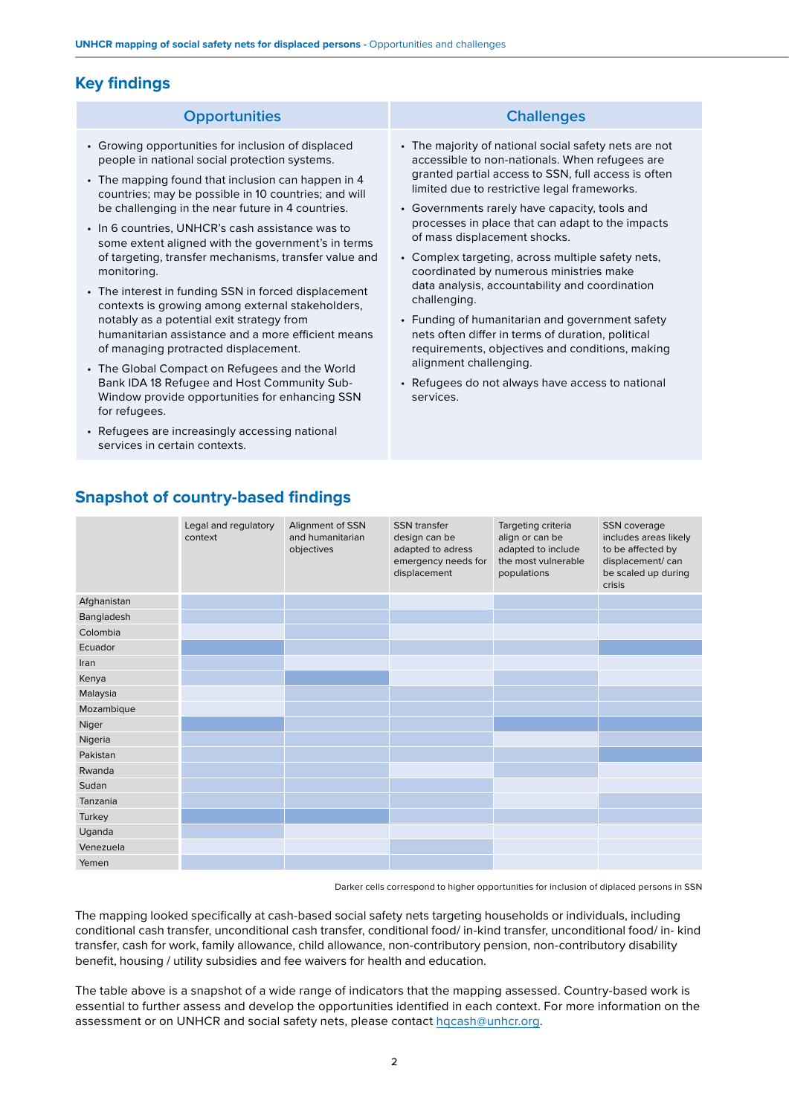# **Key findings**

#### **Opportunities Challenges**

- Growing opportunities for inclusion of displaced people in national social protection systems.
- The mapping found that inclusion can happen in 4 countries; may be possible in 10 countries; and will be challenging in the near future in 4 countries.
- In 6 countries, UNHCR's cash assistance was to some extent aligned with the government's in terms of targeting, transfer mechanisms, transfer value and monitoring.
- The interest in funding SSN in forced displacement contexts is growing among external stakeholders, notably as a potential exit strategy from humanitarian assistance and a more efficient means of managing protracted displacement.
- The Global Compact on Refugees and the World Bank IDA 18 Refugee and Host Community Sub-Window provide opportunities for enhancing SSN for refugees.
- Refugees are increasingly accessing national services in certain contexts.

- The majority of national social safety nets are not accessible to non-nationals. When refugees are granted partial access to SSN, full access is often limited due to restrictive legal frameworks.
- Governments rarely have capacity, tools and processes in place that can adapt to the impacts of mass displacement shocks.
- Complex targeting, across multiple safety nets, coordinated by numerous ministries make data analysis, accountability and coordination challenging.
- Funding of humanitarian and government safety nets often differ in terms of duration, political requirements, objectives and conditions, making alignment challenging.
- Refugees do not always have access to national services.

|             | Legal and regulatory<br>context | Alignment of SSN<br>and humanitarian<br>objectives | <b>SSN</b> transfer<br>design can be<br>adapted to adress<br>emergency needs for<br>displacement | Targeting criteria<br>align or can be<br>adapted to include<br>the most vulnerable<br>populations | SSN coverage<br>includes areas likely<br>to be affected by<br>displacement/can<br>be scaled up during<br>crisis |
|-------------|---------------------------------|----------------------------------------------------|--------------------------------------------------------------------------------------------------|---------------------------------------------------------------------------------------------------|-----------------------------------------------------------------------------------------------------------------|
| Afghanistan |                                 |                                                    |                                                                                                  |                                                                                                   |                                                                                                                 |
| Bangladesh  |                                 |                                                    |                                                                                                  |                                                                                                   |                                                                                                                 |
| Colombia    |                                 |                                                    |                                                                                                  |                                                                                                   |                                                                                                                 |
| Ecuador     |                                 |                                                    |                                                                                                  |                                                                                                   |                                                                                                                 |
| Iran        |                                 |                                                    |                                                                                                  |                                                                                                   |                                                                                                                 |
| Kenya       |                                 |                                                    |                                                                                                  |                                                                                                   |                                                                                                                 |
| Malaysia    |                                 |                                                    |                                                                                                  |                                                                                                   |                                                                                                                 |
| Mozambique  |                                 |                                                    |                                                                                                  |                                                                                                   |                                                                                                                 |
| Niger       |                                 |                                                    |                                                                                                  |                                                                                                   |                                                                                                                 |
| Nigeria     |                                 |                                                    |                                                                                                  |                                                                                                   |                                                                                                                 |
| Pakistan    |                                 |                                                    |                                                                                                  |                                                                                                   |                                                                                                                 |
| Rwanda      |                                 |                                                    |                                                                                                  |                                                                                                   |                                                                                                                 |
| Sudan       |                                 |                                                    |                                                                                                  |                                                                                                   |                                                                                                                 |
| Tanzania    |                                 |                                                    |                                                                                                  |                                                                                                   |                                                                                                                 |
| Turkey      |                                 |                                                    |                                                                                                  |                                                                                                   |                                                                                                                 |
| Uganda      |                                 |                                                    |                                                                                                  |                                                                                                   |                                                                                                                 |
| Venezuela   |                                 |                                                    |                                                                                                  |                                                                                                   |                                                                                                                 |
| Yemen       |                                 |                                                    |                                                                                                  |                                                                                                   |                                                                                                                 |

**Snapshot of country-based findings**

Darker cells correspond to higher opportunities for inclusion of diplaced persons in SSN

The mapping looked specifically at cash-based social safety nets targeting households or individuals, including conditional cash transfer, unconditional cash transfer, conditional food/ in-kind transfer, unconditional food/ in- kind transfer, cash for work, family allowance, child allowance, non-contributory pension, non-contributory disability benefit, housing / utility subsidies and fee waivers for health and education.

The table above is a snapshot of a wide range of indicators that the mapping assessed. Country-based work is essential to further assess and develop the opportunities identified in each context. For more information on the assessment or on UNHCR and social safety nets, please contact hqcash@unhcr.org.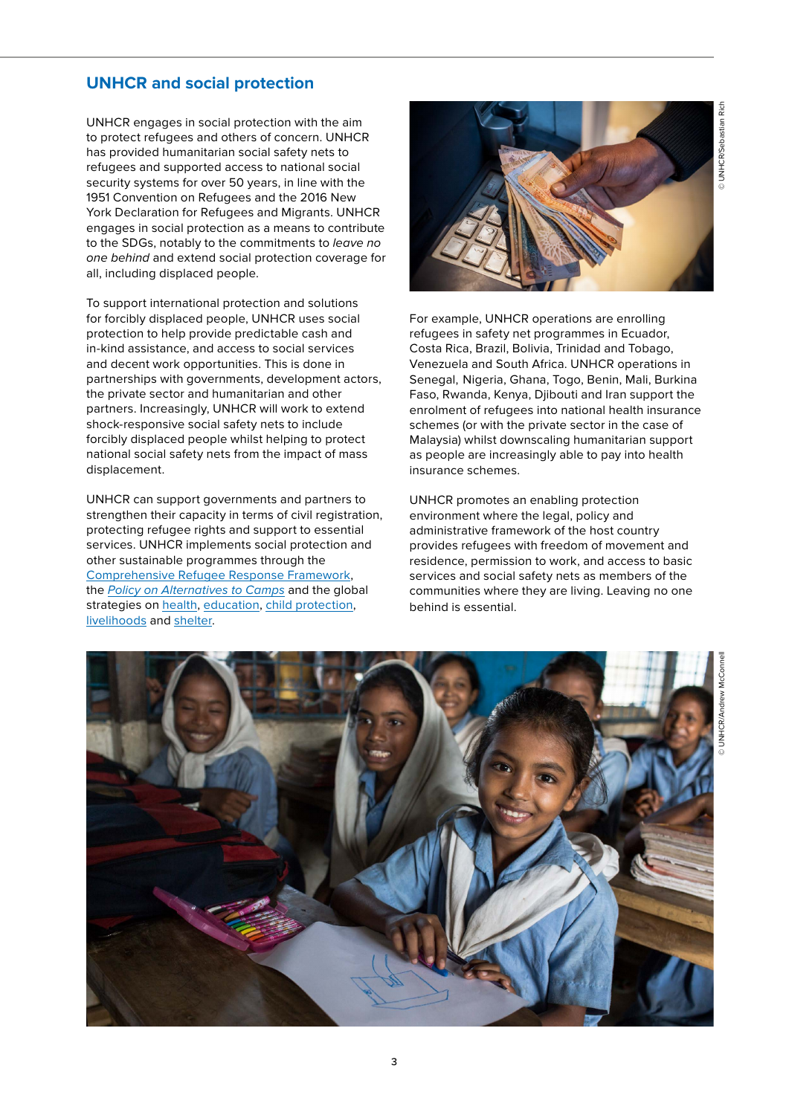# **UNHCR and social protection**

UNHCR engages in social protection with the aim to protect refugees and others of concern. UNHCR has provided humanitarian social safety nets to refugees and supported access to national social security systems for over 50 years, in line with the 1951 Convention on Refugees and the 2016 New York Declaration for Refugees and Migrants. UNHCR engages in social protection as a means to contribute to the SDGs, notably to the commitments to *leave no one behind* and extend social protection coverage for all, including displaced people.

To support international protection and solutions for forcibly displaced people, UNHCR uses social protection to help provide predictable cash and in-kind assistance, and access to social services and decent work opportunities. This is done in partnerships with governments, development actors, the private sector and humanitarian and other partners. Increasingly, UNHCR will work to extend shock-responsive social safety nets to include forcibly displaced people whilst helping to protect national social safety nets from the impact of mass displacement.

UNHCR can support governments and partners to strengthen their capacity in terms of civil registration, protecting refugee rights and support to essential services. UNHCR implements social protection and other sustainable programmes through the [Comprehensive Refugee Response Framework,](http://www.unhcr.org/comprehensive-refugee-response-framework-crrf.html) the *[Policy on Alternatives to Camps](http://www.unhcr.org/protection/statelessness/5422b8f09/unhcr-policy-alternatives-camps.html)* and the global strategies on [health,](http://www.unhcr.org/protection/health/530f12d26/global-strategy-public-health-unhcr-strategy-2014-2018-public-health-hiv.html) [education,](http://www.unhcr.org/protection/operations/5149ba349/unhcr-education-strategy-2012-2016.html) [child protection,](http://www.refworld.org/docid/4fe875682.html) [livelihoods](http://www.unhcr.org/protection/livelihoods/530f107b6/global-strategy-livelihoods.html) and [shelter.](http://www.unhcr.org/protection/livelihoods/530f13aa9/global-strategy-settlement-shelter.html)



For example, UNHCR operations are enrolling refugees in safety net programmes in Ecuador, Costa Rica, Brazil, Bolivia, Trinidad and Tobago, Venezuela and South Africa. UNHCR operations in Senegal, Nigeria, Ghana, Togo, Benin, Mali, Burkina Faso, Rwanda, Kenya, Djibouti and Iran support the enrolment of refugees into national health insurance schemes (or with the private sector in the case of Malaysia) whilst downscaling humanitarian support as people are increasingly able to pay into health insurance schemes.

UNHCR promotes an enabling protection environment where the legal, policy and administrative framework of the host country provides refugees with freedom of movement and residence, permission to work, and access to basic services and social safety nets as members of the communities where they are living. Leaving no one behind is essential.